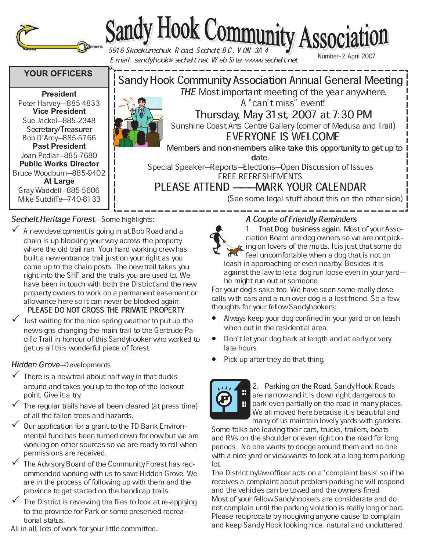

# Sandy Hook Community Association

Email: sandyhook@sechelt.net Web Site: www.sechelt.net

Number-2 April 2007

# **YOUR OFFICERS**

 - - Peter Harvey-885-4833 - - Sue Jackel-885-2348 Secretary/Treasurer Bob D'Arcy-885-5766 - - Joan Pedlar-885-7680 **Public Works Director** Bruce Woodburn-885-9402 Gray Waddell-885-5606 Mike Sutcliffe-740-8133



Members and non-members alike take this opportunity to get up to

date.

Special Speaker–Reports–Elections–Open Discussion of Issues FREE REFRESHEMENTS

PLEASE ATTEND ——MARK YOUR CALENDAR

(See some legal stuff about this on the other side)

## Sechelt Heritage Forest-Some highlights:

- $\checkmark$  A new development is going in at Bob Road and a chain is up blocking your way across the property where the old trail ran. Your hard working crew has built a new entrance trail just on your right as you come up to the chain posts. The new trail takes you right into the SHF and the trails you are used to. We have been in touch with both the District and the new property owners to work on a permanent easement or allowance here so it can never be blocked again. PLEASE DO NOT CROSS THE PRIVATE PROPERTY
- Just waiting for the nice spring weather to put up the new signs changing the main trail to the Gertrude Pacific Trail in honour of this Sandyhooker who worked to get us all this wonderful piece of forest.

## Hidden Grove-Developments

- $\checkmark$  There is a new trail about half way in that ducks around and takes you up to the top of the lookout point. Give it a try.
- $\checkmark$  The regular trails have all been cleared (at press time) of all the fallen trees and hazards.
- $\checkmark$  Our application for a grant to the TD Bank Environmental fund has been turned down for now but we are working on other sources so we are ready to roll when permissions are received.
- The Advisory Board of the Community Forest has recommended working with us to save Hidden Grove. We are in the process of following up with them and the province to get started on the handicap trails.
- The District is reviewing the files to look at re-applying to the province for Park or some preserved recreational status.

## All in all, lots of work for your little committee.

# A Couple of Friendly Reminders



1. That Dog business again. Most of your Association Board are dog owners so we are not pick- $\alpha$  ing on lovers of the mutts. It is just that some do

feel uncomfortable when a dog that is not on leash in approaching or even nearby. Besides it is against the law to let a dog run loose even in your yardhe might run out at someone.

For your dog's sake too. We have seen some really close calls with cars and a run over dog is a lost friend. So a few thoughts for your fellow Sandyhookers:

- Always keep your dog confined in your yard or on leash when out in the residential area.
- Don't let your dog bark at length and at early or very late hours.
- Pick up after they do that thing.



2. Parking on the Road. Sandy Hook Roads are narrow and it is down right dangerous to park even partially on the road in many places. We all moved here because it is beautiful and many of us maintain lovely yards with gardens.

Some folks are leaving their cars, trucks, trailers, boats and RVs on the shoulder or even right on the road for long periods. No one wants to dodge around them and no one with a nice yard or view wants to look at a long term parking lot.

The District bylaw officer acts on a `complaint basis' so if he receives a complaint about problem parking he will respond and the vehicles can be towed and the owners fined. Most of your fellow Sandyhookers are considerate and do not complain until the parking violation is really long or bad. Please reciprocate by not giving anyone cause to complain and keep Sandy Hook looking nice, natural and uncluttered.